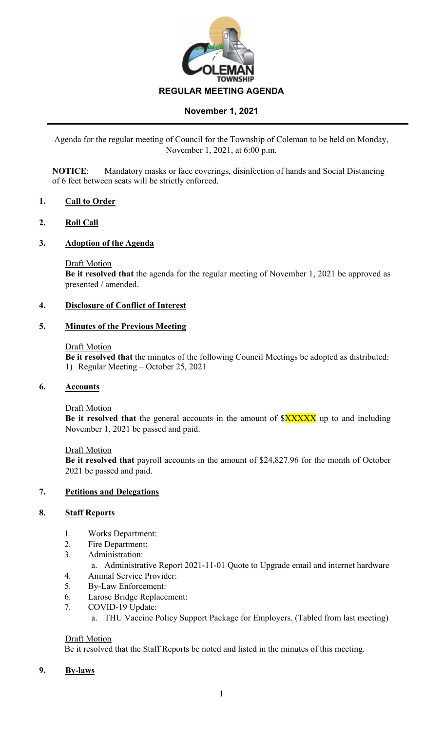

# **November 1, 2021**

Agenda for the regular meeting of Council for the Township of Coleman to be held on Monday, November 1, 2021, at 6:00 p.m.

**NOTICE**: Mandatory masks or face coverings, disinfection of hands and Social Distancing of 6 feet between seats will be strictly enforced.

# **1. Call to Order**

# **2. Roll Call**

# **3. Adoption of the Agenda**

#### Draft Motion

**Be it resolved that** the agenda for the regular meeting of November 1, 2021 be approved as presented / amended.

# **4. Disclosure of Conflict of Interest**

#### **5. Minutes of the Previous Meeting**

#### Draft Motion

**Be it resolved that** the minutes of the following Council Meetings be adopted as distributed: 1) Regular Meeting – October 25, 2021

# **6. Accounts**

# Draft Motion

**Be it resolved that** the general accounts in the amount of  $XXXXX$  up to and including November 1, 2021 be passed and paid.

#### Draft Motion

**Be it resolved that** payroll accounts in the amount of \$24,827.96 for the month of October 2021 be passed and paid.

# **7. Petitions and Delegations**

# **8. Staff Reports**

- 1. Works Department:
- 2. Fire Department:
- 3. Administration:
	- a. Administrative Report 2021-11-01 Quote to Upgrade email and internet hardware
- 4. Animal Service Provider:
- 5. By-Law Enforcement:
- 6. Larose Bridge Replacement:
- 7. COVID-19 Update:
	- a. THU Vaccine Policy Support Package for Employers. (Tabled from last meeting)

# Draft Motion

Be it resolved that the Staff Reports be noted and listed in the minutes of this meeting.

# **9. By-laws**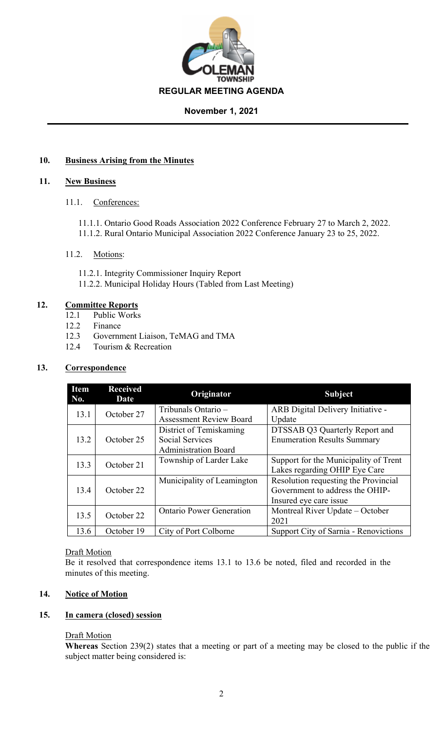

# **November 1, 2021**

# **10. Business Arising from the Minutes**

# **11. New Business**

11.1. Conferences:

11.1.1. Ontario Good Roads Association 2022 Conference February 27 to March 2, 2022. 11.1.2. Rural Ontario Municipal Association 2022 Conference January 23 to 25, 2022.

# 11.2. Motions:

- 11.2.1. Integrity Commissioner Inquiry Report
- 11.2.2. Municipal Holiday Hours (Tabled from Last Meeting)

# **12. Committee Reports**

- 12.1 Public Works
- 12.2 Finance
- 12.3 Government Liaison, TeMAG and TMA
- 12.4 Tourism & Recreation

# **13. Correspondence**

| <b>Item</b><br>No. | <b>Received</b><br>Date | Originator                      | <b>Subject</b>                        |
|--------------------|-------------------------|---------------------------------|---------------------------------------|
| 13.1               | October 27              | Tribunals Ontario -             | ARB Digital Delivery Initiative -     |
|                    |                         | <b>Assessment Review Board</b>  | Update                                |
|                    |                         | District of Temiskaming         | DTSSAB Q3 Quarterly Report and        |
| 13.2               | October 25              | <b>Social Services</b>          | <b>Enumeration Results Summary</b>    |
|                    |                         | <b>Administration Board</b>     |                                       |
| 13.3               | October 21              | Township of Larder Lake         | Support for the Municipality of Trent |
|                    |                         |                                 | Lakes regarding OHIP Eye Care         |
|                    |                         | Municipality of Leamington      | Resolution requesting the Provincial  |
| 13.4               | October 22              |                                 | Government to address the OHIP-       |
|                    |                         |                                 | Insured eye care issue                |
| 13.5               | October 22              | <b>Ontario Power Generation</b> | Montreal River Update – October       |
|                    |                         |                                 | 2021                                  |
| 13.6               | October 19              | City of Port Colborne           | Support City of Sarnia - Renovictions |

# Draft Motion

Be it resolved that correspondence items 13.1 to 13.6 be noted, filed and recorded in the minutes of this meeting.

# **14. Notice of Motion**

# **15. In camera (closed) session**

# **Draft Motion**

**Whereas** Section 239(2) states that a meeting or part of a meeting may be closed to the public if the subject matter being considered is: